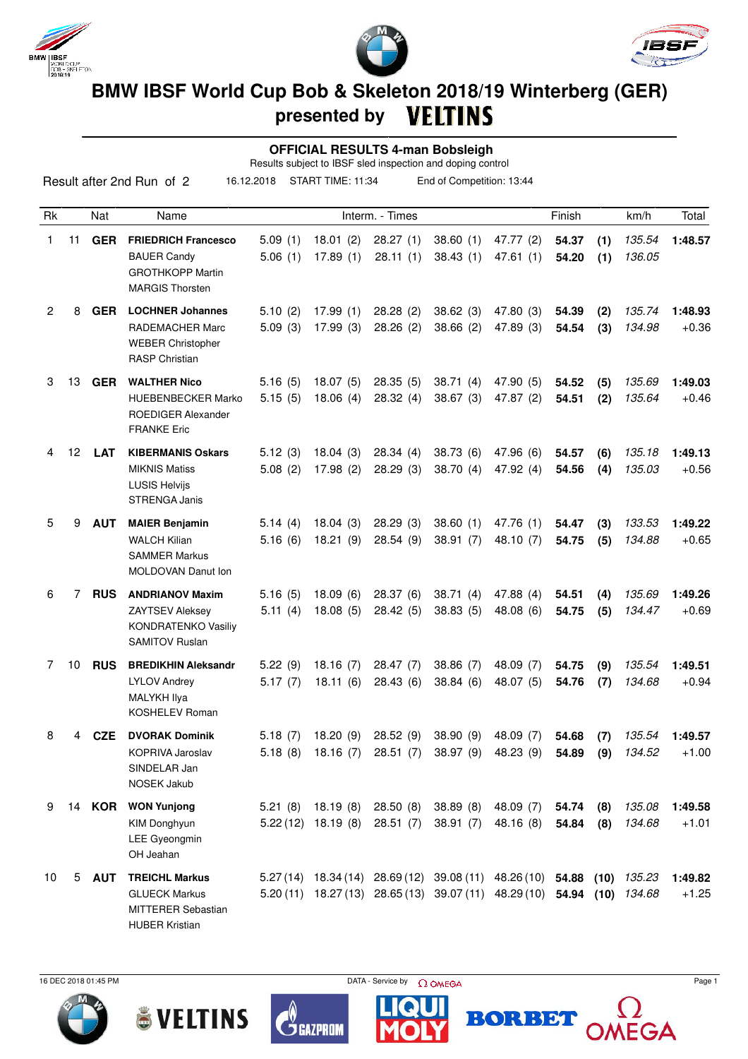





## **BMW IBSF World Cup Bob & Skeleton 2018/19 Winterberg (GER) presented by**

| <b>OFFICIAL RESULTS 4-man Bobsleigh</b><br>Results subject to IBSF sled inspection and doping control |    |               |                                                                                                       |                     |                                                |                      |                       |                                                                                 |                |            |                  |                    |
|-------------------------------------------------------------------------------------------------------|----|---------------|-------------------------------------------------------------------------------------------------------|---------------------|------------------------------------------------|----------------------|-----------------------|---------------------------------------------------------------------------------|----------------|------------|------------------|--------------------|
|                                                                                                       |    |               | Result after 2nd Run of 2                                                                             | 16.12.2018          | START TIME: 11:34<br>End of Competition: 13:44 |                      |                       |                                                                                 |                |            |                  |                    |
| <b>Rk</b>                                                                                             |    | <b>Nat</b>    | Name                                                                                                  |                     |                                                | Interm. - Times      |                       |                                                                                 | Finish         |            | km/h             | Total              |
| 1                                                                                                     | 11 | <b>GER</b>    | <b>FRIEDRICH Francesco</b><br><b>BAUER Candy</b><br><b>GROTHKOPP Martin</b><br><b>MARGIS Thorsten</b> | 5.09(1)<br>5.06(1)  | 18.01(2)<br>17.89(1)                           | 28.27(1)<br>28.11(1) | 38.60(1)<br>38.43(1)  | 47.77 (2)<br>47.61(1)                                                           | 54.37<br>54.20 | (1)<br>(1) | 135.54<br>136.05 | 1:48.57            |
| $\overline{2}$                                                                                        | 8  | <b>GER</b>    | <b>LOCHNER Johannes</b><br>RADEMACHER Marc<br><b>WEBER Christopher</b><br><b>RASP Christian</b>       | 5.10(2)<br>5.09(3)  | 17.99(1)<br>17.99(3)                           | 28.28(2)<br>28.26(2) | 38.62(3)<br>38.66(2)  | 47.80 (3)<br>47.89 (3)                                                          | 54.39<br>54.54 | (2)<br>(3) | 135.74<br>134.98 | 1:48.93<br>$+0.36$ |
| 3                                                                                                     | 13 | <b>GER</b>    | <b>WALTHER Nico</b><br><b>HUEBENBECKER Marko</b><br>ROEDIGER Alexander<br><b>FRANKE Eric</b>          | 5.16(5)<br>5.15(5)  | 18.07(5)<br>18.06(4)                           | 28.35(5)<br>28.32(4) | 38.71(4)<br>38.67(3)  | 47.90 (5)<br>47.87 (2)                                                          | 54.52<br>54.51 | (5)<br>(2) | 135.69<br>135.64 | 1:49.03<br>$+0.46$ |
| 4                                                                                                     | 12 | <b>LAT</b>    | <b>KIBERMANIS Oskars</b><br><b>MIKNIS Matiss</b><br><b>LUSIS Helvijs</b><br><b>STRENGA Janis</b>      | 5.12(3)<br>5.08(2)  | 18.04(3)<br>17.98(2)                           | 28.34(4)<br>28.29(3) | 38.73(6)<br>38.70(4)  | 47.96 (6)<br>47.92(4)                                                           | 54.57<br>54.56 | (6)<br>(4) | 135.18<br>135.03 | 1:49.13<br>$+0.56$ |
| 5                                                                                                     | 9  | <b>AUT</b>    | <b>MAIER Benjamin</b><br><b>WALCH Kilian</b><br><b>SAMMER Markus</b><br>MOLDOVAN Danut Ion            | 5.14(4)<br>5.16(6)  | 18.04(3)<br>18.21(9)                           | 28.29(3)<br>28.54(9) | 38.60(1)<br>38.91(7)  | 47.76 (1)<br>48.10 (7)                                                          | 54.47<br>54.75 | (3)<br>(5) | 133.53<br>134.88 | 1:49.22<br>$+0.65$ |
| 6                                                                                                     | 7  | <b>RUS</b>    | <b>ANDRIANOV Maxim</b><br><b>ZAYTSEV Aleksey</b><br>KONDRATENKO Vasiliy<br><b>SAMITOV Ruslan</b>      | 5.16(5)<br>5.11(4)  | 18.09(6)<br>18.08(5)                           | 28.37(6)<br>28.42(5) | 38.71(4)<br>38.83(5)  | 47.88 (4)<br>48.08(6)                                                           | 54.51<br>54.75 | (4)<br>(5) | 135.69<br>134.47 | 1:49.26<br>$+0.69$ |
| 7                                                                                                     | 10 | <b>RUS</b>    | <b>BREDIKHIN Aleksandr</b><br><b>LYLOV Andrey</b><br>MALYKH Ilya<br><b>KOSHELEV Roman</b>             | 5.22(9)<br>5.17(7)  | 18.16(7)<br>18.11(6)                           | 28.47(7)<br>28.43(6) | 38.86 (7)<br>38.84(6) | 48.09 (7)<br>48.07 (5)                                                          | 54.75<br>54.76 | (9)<br>(7) | 135.54<br>134.68 | 1:49.51<br>$+0.94$ |
| 8                                                                                                     | 4  | <b>CZE</b>    | <b>DVORAK Dominik</b><br>KOPRIVA Jaroslav<br>SINDELAR Jan<br><b>NOSEK Jakub</b>                       | 5.18(7)<br>5.18(8)  | 18.20(9)<br>18.16(7)                           | 28.52(9)<br>28.51(7) | 38.90(9)<br>38.97 (9) | 48.09 (7)<br>48.23 (9)                                                          | 54.68<br>54.89 | (7)<br>(9) | 135.54<br>134.52 | 1:49.57<br>$+1.00$ |
| 9                                                                                                     |    | 14 <b>KOR</b> | <b>WON Yunjong</b><br>KIM Donghyun<br>LEE Gyeongmin<br>OH Jeahan                                      | 5.21(8)<br>5.22(12) | 18.19(8)<br>18.19(8)                           | 28.50(8)<br>28.51(7) | 38.89(8)<br>38.91(7)  | 48.09 (7)<br>48.16 (8)                                                          | 54.74<br>54.84 | (8)<br>(8) | 135.08<br>134.68 | 1:49.58<br>$+1.01$ |
| 10                                                                                                    |    |               | 5 AUT TREICHL Markus                                                                                  |                     |                                                |                      |                       | 5 27 (14) 18 34 (14) 28 69 (12) 39 08 (11) 48 26 (10) 54 88 (10) 135 23 1:40 82 |                |            |                  |                    |

10 5 **AUT TREICHL Markus** 5.27 (14) 18.34 (14) 28.69 (12) 39.08 (11) 48.26 (10) **54.88 (10)** 135.23 **1:49.82** GLUECK Markus 5.20 (11) 18.27 (13) 28.65 (13) 39.07 (11) 48.29 (10) **54.94 (10)** 134.68 +1.25 MITTERER Sebastian HUBER Kristian







Ď GAZPROM



 $33%$ 

EGA